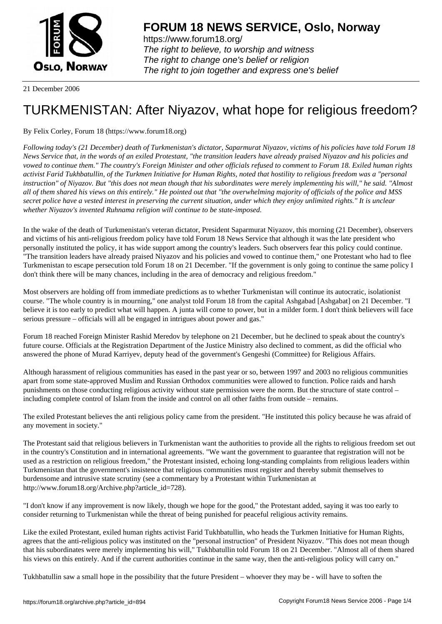

https://www.forum18.org/ The right to believe, to worship and witness The right to change one's belief or religion [The right to join together a](https://www.forum18.org/)nd express one's belief

21 December 2006

## [TURKMENISTA](https://www.forum18.org)N: After Niyazov, what hope for religious freedom?

By Felix Corley, Forum 18 (https://www.forum18.org)

*Following today's (21 December) death of Turkmenistan's dictator, Saparmurat Niyazov, victims of his policies have told Forum 18 News Service that, in the words of an exiled Protestant, "the transition leaders have already praised Niyazov and his policies and vowed to continue them." The country's Foreign Minister and other officials refused to comment to Forum 18. Exiled human rights activist Farid Tukhbatullin, of the Turkmen Initiative for Human Rights, noted that hostility to religious freedom was a "personal instruction" of Niyazov. But "this does not mean though that his subordinates were merely implementing his will," he said. "Almost all of them shared his views on this entirely." He pointed out that "the overwhelming majority of officials of the police and MSS secret police have a vested interest in preserving the current situation, under which they enjoy unlimited rights." It is unclear whether Niyazov's invented Ruhnama religion will continue to be state-imposed.*

In the wake of the death of Turkmenistan's veteran dictator, President Saparmurat Niyazov, this morning (21 December), observers and victims of his anti-religious freedom policy have told Forum 18 News Service that although it was the late president who personally instituted the policy, it has wide support among the country's leaders. Such observers fear this policy could continue. "The transition leaders have already praised Niyazov and his policies and vowed to continue them," one Protestant who had to flee Turkmenistan to escape persecution told Forum 18 on 21 December. "If the government is only going to continue the same policy I don't think there will be many chances, including in the area of democracy and religious freedom."

Most observers are holding off from immediate predictions as to whether Turkmenistan will continue its autocratic, isolationist course. "The whole country is in mourning," one analyst told Forum 18 from the capital Ashgabad [Ashgabat] on 21 December. "I believe it is too early to predict what will happen. A junta will come to power, but in a milder form. I don't think believers will face serious pressure – officials will all be engaged in intrigues about power and gas."

Forum 18 reached Foreign Minister Rashid Meredov by telephone on 21 December, but he declined to speak about the country's future course. Officials at the Registration Department of the Justice Ministry also declined to comment, as did the official who answered the phone of Murad Karriyev, deputy head of the government's Gengeshi (Committee) for Religious Affairs.

Although harassment of religious communities has eased in the past year or so, between 1997 and 2003 no religious communities apart from some state-approved Muslim and Russian Orthodox communities were allowed to function. Police raids and harsh punishments on those conducting religious activity without state permission were the norm. But the structure of state control – including complete control of Islam from the inside and control on all other faiths from outside – remains.

The exiled Protestant believes the anti religious policy came from the president. "He instituted this policy because he was afraid of any movement in society."

The Protestant said that religious believers in Turkmenistan want the authorities to provide all the rights to religious freedom set out in the country's Constitution and in international agreements. "We want the government to guarantee that registration will not be used as a restriction on religious freedom," the Protestant insisted, echoing long-standing complaints from religious leaders within Turkmenistan that the government's insistence that religious communities must register and thereby submit themselves to burdensome and intrusive state scrutiny (see a commentary by a Protestant within Turkmenistan at http://www.forum18.org/Archive.php?article\_id=728).

"I don't know if any improvement is now likely, though we hope for the good," the Protestant added, saying it was too early to consider returning to Turkmenistan while the threat of being punished for peaceful religious activity remains.

Like the exiled Protestant, exiled human rights activist Farid Tukhbatullin, who heads the Turkmen Initiative for Human Rights, agrees that the anti-religious policy was instituted on the "personal instruction" of President Niyazov. "This does not mean though that his subordinates were merely implementing his will," Tukhbatullin told Forum 18 on 21 December. "Almost all of them shared his views on this entirely. And if the current authorities continue in the same way, then the anti-religious policy will carry on."

Tukhbatullin saw a small hope in the possibility that the future President – whoever they may be - will have to soften the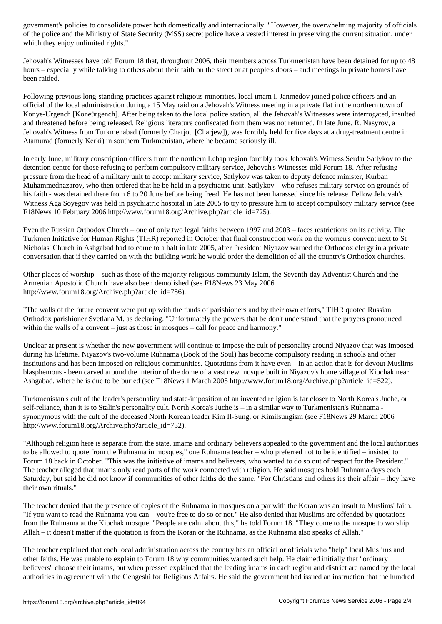of the Ministry of State Security (MSS) secret police have a vested interest interest interest interest interest in which they enjoy unlimited rights."

Jehovah's Witnesses have told Forum 18 that, throughout 2006, their members across Turkmenistan have been detained for up to 48 hours – especially while talking to others about their faith on the street or at people's doors – and meetings in private homes have been raided.

Following previous long-standing practices against religious minorities, local imam I. Janmedov joined police officers and an official of the local administration during a 15 May raid on a Jehovah's Witness meeting in a private flat in the northern town of Konye-Urgench [Koneürgench]. After being taken to the local police station, all the Jehovah's Witnesses were interrogated, insulted and threatened before being released. Religious literature confiscated from them was not returned. In late June, R. Nasyrov, a Jehovah's Witness from Turkmenabad (formerly Charjou [Charjew]), was forcibly held for five days at a drug-treatment centre in Atamurad (formerly Kerki) in southern Turkmenistan, where he became seriously ill.

In early June, military conscription officers from the northern Lebap region forcibly took Jehovah's Witness Serdar Satlykov to the detention centre for those refusing to perform compulsory military service, Jehovah's Witnesses told Forum 18. After refusing pressure from the head of a military unit to accept military service, Satlykov was taken to deputy defence minister, Kurban Muhammednazarov, who then ordered that he be held in a psychiatric unit. Satlykov – who refuses military service on grounds of his faith - was detained there from 6 to 20 June before being freed. He has not been harassed since his release. Fellow Jehovah's Witness Aga Soyegov was held in psychiatric hospital in late 2005 to try to pressure him to accept compulsory military service (see F18News 10 February 2006 http://www.forum18.org/Archive.php?article\_id=725).

Even the Russian Orthodox Church – one of only two legal faiths between 1997 and 2003 – faces restrictions on its activity. The Turkmen Initiative for Human Rights (TIHR) reported in October that final construction work on the women's convent next to St Nicholas' Church in Ashgabad had to come to a halt in late 2005, after President Niyazov warned the Orthodox clergy in a private conversation that if they carried on with the building work he would order the demolition of all the country's Orthodox churches.

Other places of worship – such as those of the majority religious community Islam, the Seventh-day Adventist Church and the Armenian Apostolic Church have also been demolished (see F18News 23 May 2006 http://www.forum18.org/Archive.php?article\_id=786).

"The walls of the future convent were put up with the funds of parishioners and by their own efforts," TIHR quoted Russian Orthodox parishioner Svetlana M. as declaring. "Unfortunately the powers that be don't understand that the prayers pronounced within the walls of a convent – just as those in mosques – call for peace and harmony."

Unclear at present is whether the new government will continue to impose the cult of personality around Niyazov that was imposed during his lifetime. Niyazov's two-volume Ruhnama (Book of the Soul) has become compulsory reading in schools and other institutions and has been imposed on religious communities. Quotations from it have even – in an action that is for devout Muslims blasphemous - been carved around the interior of the dome of a vast new mosque built in Niyazov's home village of Kipchak near Ashgabad, where he is due to be buried (see F18News 1 March 2005 http://www.forum18.org/Archive.php?article\_id=522).

Turkmenistan's cult of the leader's personality and state-imposition of an invented religion is far closer to North Korea's Juche, or self-reliance, than it is to Stalin's personality cult. North Korea's Juche is – in a similar way to Turkmenistan's Ruhnama synonymous with the cult of the deceased North Korean leader Kim Il-Sung, or Kimilsungism (see F18News 29 March 2006 http://www.forum18.org/Archive.php?article\_id=752).

"Although religion here is separate from the state, imams and ordinary believers appealed to the government and the local authorities to be allowed to quote from the Ruhnama in mosques," one Ruhnama teacher – who preferred not to be identified – insisted to Forum 18 back in October. "This was the initiative of imams and believers, who wanted to do so out of respect for the President." The teacher alleged that imams only read parts of the work connected with religion. He said mosques hold Ruhnama days each Saturday, but said he did not know if communities of other faiths do the same. "For Christians and others it's their affair – they have their own rituals."

The teacher denied that the presence of copies of the Ruhnama in mosques on a par with the Koran was an insult to Muslims' faith. "If you want to read the Ruhnama you can – you're free to do so or not." He also denied that Muslims are offended by quotations from the Ruhnama at the Kipchak mosque. "People are calm about this," he told Forum 18. "They come to the mosque to worship Allah – it doesn't matter if the quotation is from the Koran or the Ruhnama, as the Ruhnama also speaks of Allah."

The teacher explained that each local administration across the country has an official or officials who "help" local Muslims and other faiths. He was unable to explain to Forum 18 why communities wanted such help. He claimed initially that "ordinary believers" choose their imams, but when pressed explained that the leading imams in each region and district are named by the local authorities in agreement with the Gengeshi for Religious Affairs. He said the government had issued an instruction that the hundred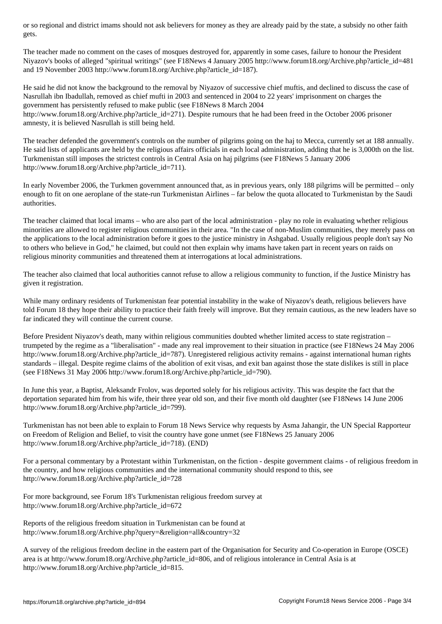The teacher made no comment on the cases of mosques destroyed for, apparently in some cases, failure to honour the President Niyazov's books of alleged "spiritual writings" (see F18News 4 January 2005 http://www.forum18.org/Archive.php?article\_id=481 and 19 November 2003 http://www.forum18.org/Archive.php?article\_id=187).

He said he did not know the background to the removal by Niyazov of successive chief muftis, and declined to discuss the case of Nasrullah ibn Ibadullah, removed as chief mufti in 2003 and sentenced in 2004 to 22 years' imprisonment on charges the government has persistently refused to make public (see F18News 8 March 2004 http://www.forum18.org/Archive.php?article\_id=271). Despite rumours that he had been freed in the October 2006 prisoner amnesty, it is believed Nasrullah is still being held.

The teacher defended the government's controls on the number of pilgrims going on the haj to Mecca, currently set at 188 annually. He said lists of applicants are held by the religious affairs officials in each local administration, adding that he is 3,000th on the list. Turkmenistan still imposes the strictest controls in Central Asia on haj pilgrims (see F18News 5 January 2006 http://www.forum18.org/Archive.php?article\_id=711).

In early November 2006, the Turkmen government announced that, as in previous years, only 188 pilgrims will be permitted – only enough to fit on one aeroplane of the state-run Turkmenistan Airlines – far below the quota allocated to Turkmenistan by the Saudi authorities.

The teacher claimed that local imams – who are also part of the local administration - play no role in evaluating whether religious minorities are allowed to register religious communities in their area. "In the case of non-Muslim communities, they merely pass on the applications to the local administration before it goes to the justice ministry in Ashgabad. Usually religious people don't say No to others who believe in God," he claimed, but could not then explain why imams have taken part in recent years on raids on religious minority communities and threatened them at interrogations at local administrations.

The teacher also claimed that local authorities cannot refuse to allow a religious community to function, if the Justice Ministry has given it registration.

While many ordinary residents of Turkmenistan fear potential instability in the wake of Niyazov's death, religious believers have told Forum 18 they hope their ability to practice their faith freely will improve. But they remain cautious, as the new leaders have so far indicated they will continue the current course.

Before President Niyazov's death, many within religious communities doubted whether limited access to state registration – trumpeted by the regime as a "liberalisation" - made any real improvement to their situation in practice (see F18News 24 May 2006 http://www.forum18.org/Archive.php?article\_id=787). Unregistered religious activity remains - against international human rights standards – illegal. Despite regime claims of the abolition of exit visas, and exit ban against those the state dislikes is still in place (see F18News 31 May 2006 http://www.forum18.org/Archive.php?article\_id=790).

In June this year, a Baptist, Aleksandr Frolov, was deported solely for his religious activity. This was despite the fact that the deportation separated him from his wife, their three year old son, and their five month old daughter (see F18News 14 June 2006 http://www.forum18.org/Archive.php?article\_id=799).

Turkmenistan has not been able to explain to Forum 18 News Service why requests by Asma Jahangir, the UN Special Rapporteur on Freedom of Religion and Belief, to visit the country have gone unmet (see F18News 25 January 2006 http://www.forum18.org/Archive.php?article\_id=718). (END)

For a personal commentary by a Protestant within Turkmenistan, on the fiction - despite government claims - of religious freedom in the country, and how religious communities and the international community should respond to this, see http://www.forum18.org/Archive.php?article\_id=728

For more background, see Forum 18's Turkmenistan religious freedom survey at http://www.forum18.org/Archive.php?article\_id=672

Reports of the religious freedom situation in Turkmenistan can be found at http://www.forum18.org/Archive.php?query=&religion=all&country=32

A survey of the religious freedom decline in the eastern part of the Organisation for Security and Co-operation in Europe (OSCE) area is at http://www.forum18.org/Archive.php?article\_id=806, and of religious intolerance in Central Asia is at http://www.forum18.org/Archive.php?article\_id=815.

 $\overline{\phantom{a}}$